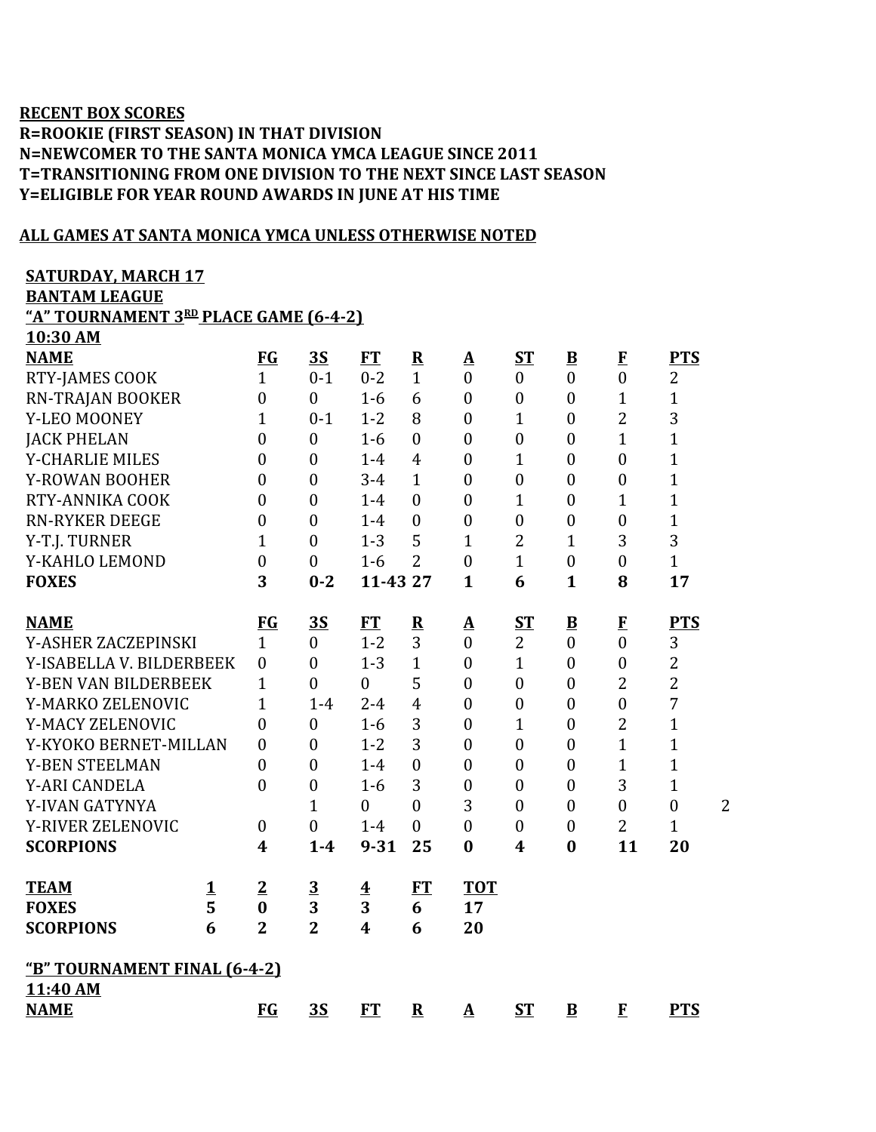## **RECENT BOX SCORES R=ROOKIE (FIRST SEASON) IN THAT DIVISION N=NEWCOMER TO THE SANTA MONICA YMCA LEAGUE SINCE 2011 T=TRANSITIONING FROM ONE DIVISION TO THE NEXT SINCE LAST SEASON Y=ELIGIBLE FOR YEAR ROUND AWARDS IN JUNE AT HIS TIME**

## **ALL GAMES AT SANTA MONICA YMCA UNLESS OTHERWISE NOTED**

| <b>SATURDAY, MARCH 17</b> |  |  |  |  |  |  |  |  |
|---------------------------|--|--|--|--|--|--|--|--|
|                           |  |  |  |  |  |  |  |  |

**BANTAM LEAGUE**

**"A" TOURNAMENT 3 RD PLACE GAME (6-4-2) 10:30 AM**

| TANDA THE                                |                    |                  |                  |                         |                              |                             |                  |                          |                                |                  |                |
|------------------------------------------|--------------------|------------------|------------------|-------------------------|------------------------------|-----------------------------|------------------|--------------------------|--------------------------------|------------------|----------------|
| <b>NAME</b>                              |                    | FG               | <u>3S</u>        | <b>FT</b>               | ${\bf R}$                    | ${\bf A}$                   | <b>ST</b>        | $\bf{B}$                 | $\mathbf{F}$                   | <b>PTS</b>       |                |
| RTY-JAMES COOK                           |                    | $\mathbf{1}$     | $0 - 1$          | $0 - 2$                 | $\mathbf{1}$                 | $\overline{0}$              | $\mathbf{0}$     | $\overline{0}$           | $\overline{0}$                 | $\overline{2}$   |                |
| RN-TRAJAN BOOKER                         |                    | $\overline{0}$   | $\mathbf{0}$     | $1-6$                   | 6                            | $\boldsymbol{0}$            | $\boldsymbol{0}$ | $\boldsymbol{0}$         | $\mathbf{1}$                   | $\mathbf{1}$     |                |
| Y-LEO MOONEY                             |                    | $\mathbf{1}$     | $0 - 1$          | $1 - 2$                 | 8                            | $\boldsymbol{0}$            | $\mathbf{1}$     | $\overline{0}$           | $\overline{2}$                 | 3                |                |
| <b>JACK PHELAN</b>                       |                    | $\overline{0}$   | $\boldsymbol{0}$ | $1-6$                   | $\overline{0}$               | $\boldsymbol{0}$            | $\boldsymbol{0}$ | $\overline{0}$           | $\mathbf{1}$                   | $\mathbf{1}$     |                |
| Y-CHARLIE MILES                          |                    | $\overline{0}$   | $\boldsymbol{0}$ | $1-4$                   | $\overline{4}$               | $\boldsymbol{0}$            | $\mathbf{1}$     | $\boldsymbol{0}$         | $\boldsymbol{0}$               | $\mathbf{1}$     |                |
| Y-ROWAN BOOHER                           |                    | $\overline{0}$   | $\boldsymbol{0}$ | $3 - 4$                 | $\mathbf{1}$                 | $\boldsymbol{0}$            | $\boldsymbol{0}$ | $\boldsymbol{0}$         | $\boldsymbol{0}$               | $\mathbf{1}$     |                |
| RTY-ANNIKA COOK                          |                    | $\theta$         | $\boldsymbol{0}$ | $1-4$                   | $\boldsymbol{0}$             | $\boldsymbol{0}$            | $\mathbf{1}$     | $\boldsymbol{0}$         | 1                              | $\mathbf{1}$     |                |
| <b>RN-RYKER DEEGE</b>                    |                    | $\mathbf{0}$     | $\boldsymbol{0}$ | $1 - 4$                 | $\boldsymbol{0}$             | $\boldsymbol{0}$            | $\boldsymbol{0}$ | $\boldsymbol{0}$         | $\boldsymbol{0}$               | $\mathbf{1}$     |                |
| Y-T.J. TURNER                            |                    | $\mathbf{1}$     | $\mathbf{0}$     | $1 - 3$                 | 5                            | $\mathbf{1}$                | $\overline{2}$   | $\mathbf{1}$             | 3                              | 3                |                |
| Y-KAHLO LEMOND                           |                    | $\overline{0}$   | $\mathbf{0}$     | $1-6$                   | $\overline{2}$               | $\overline{0}$              | $\mathbf{1}$     | $\boldsymbol{0}$         | $\overline{0}$                 | $\mathbf{1}$     |                |
| <b>FOXES</b>                             |                    | 3                | $0 - 2$          | 11-43 27                |                              | $\mathbf{1}$                | 6                | $\mathbf{1}$             | 8                              | 17               |                |
|                                          |                    |                  |                  |                         |                              |                             |                  |                          |                                |                  |                |
| <b>NAME</b>                              |                    | <b>FG</b>        | 3S               | FT                      | $\overline{\mathbf{R}}$<br>3 | ${\bf A}$<br>$\overline{0}$ | <b>ST</b>        | $\underline{\mathbf{B}}$ | $\mathbf{F}$<br>$\overline{0}$ | <b>PTS</b>       |                |
| Y-ASHER ZACZEPINSKI                      |                    | $\mathbf{1}$     | $\mathbf{0}$     | $1 - 2$                 |                              |                             | $\overline{2}$   | $\overline{0}$           |                                | 3                |                |
| Y-ISABELLA V. BILDERBEEK                 |                    | $\mathbf{0}$     | $\overline{0}$   | $1 - 3$                 | 1                            | $\mathbf{0}$                | $\mathbf{1}$     | $\overline{0}$           | $\boldsymbol{0}$               | $\overline{2}$   |                |
| Y-BEN VAN BILDERBEEK                     |                    | $\mathbf{1}$     | $\boldsymbol{0}$ | $\boldsymbol{0}$        | 5                            | $\boldsymbol{0}$            | $\boldsymbol{0}$ | $\boldsymbol{0}$         | $\overline{2}$                 | $\overline{2}$   |                |
| Y-MARKO ZELENOVIC                        |                    | 1                | $1 - 4$          | $2 - 4$                 | $\overline{4}$               | $\boldsymbol{0}$            | $\boldsymbol{0}$ | $\boldsymbol{0}$         | $\boldsymbol{0}$               | $\sqrt{ }$       |                |
| Y-MACY ZELENOVIC                         |                    | $\theta$         | $\boldsymbol{0}$ | $1-6$                   | 3                            | $\mathbf{0}$                | $\mathbf{1}$     | $\overline{0}$           | $\overline{2}$                 | $\mathbf{1}$     |                |
| Y-KYOKO BERNET-MILLAN                    |                    | $\theta$         | $\overline{0}$   | $1 - 2$                 | 3                            | $\boldsymbol{0}$            | $\mathbf{0}$     | $\overline{0}$           | $\mathbf{1}$                   | $\mathbf{1}$     |                |
| <b>Y-BEN STEELMAN</b>                    |                    | $\theta$         | $\overline{0}$   | $1-4$                   | $\overline{0}$               | $\boldsymbol{0}$            | $\overline{0}$   | $\overline{0}$           | $\mathbf{1}$                   | $\mathbf{1}$     |                |
| Y-ARI CANDELA                            |                    | $\theta$         | $\boldsymbol{0}$ | $1 - 6$                 | 3                            | $\boldsymbol{0}$            | $\boldsymbol{0}$ | $\boldsymbol{0}$         | 3                              | $\mathbf{1}$     |                |
| Y-IVAN GATYNYA                           |                    |                  | $\mathbf{1}$     | $\overline{0}$          | $\overline{0}$               | 3                           | $\overline{0}$   | $\overline{0}$           | $\boldsymbol{0}$               | $\boldsymbol{0}$ | $\overline{2}$ |
| Y-RIVER ZELENOVIC                        |                    | $\boldsymbol{0}$ | $\overline{0}$   | $1 - 4$                 | $\overline{0}$               | $\overline{0}$              | $\boldsymbol{0}$ | $\boldsymbol{0}$         | $\overline{2}$                 | $\mathbf{1}$     |                |
| <b>SCORPIONS</b>                         |                    | $\boldsymbol{4}$ | $1 - 4$          | $9 - 31$                | 25                           | $\bf{0}$                    | 4                | $\bf{0}$                 | 11                             | 20               |                |
| <b>TEAM</b>                              | $\mathbf 1$        | $\overline{2}$   | $\overline{3}$   | $\overline{\mathbf{4}}$ | <b>FT</b>                    | <b>TOT</b>                  |                  |                          |                                |                  |                |
| <b>FOXES</b>                             | $\overline{\bf 5}$ | $\bf{0}$         | 3                | 3                       | 6                            | 17                          |                  |                          |                                |                  |                |
| <b>SCORPIONS</b>                         | 6                  | $\overline{2}$   | $\overline{2}$   | $\overline{\mathbf{4}}$ | 6                            | 20                          |                  |                          |                                |                  |                |
|                                          |                    |                  |                  |                         |                              |                             |                  |                          |                                |                  |                |
| "B" TOURNAMENT FINAL (6-4-2)<br>11:40 AM |                    |                  |                  |                         |                              |                             |                  |                          |                                |                  |                |
| <b>NAME</b>                              |                    | <b>FG</b>        | <b>3S</b>        | <b>FT</b>               |                              |                             | ST               |                          |                                | <b>PTS</b>       |                |
|                                          |                    |                  |                  |                         | $\overline{\mathbf{R}}$      | ${\bf A}$                   |                  | $\bf{B}$                 | $\mathbf{F}$                   |                  |                |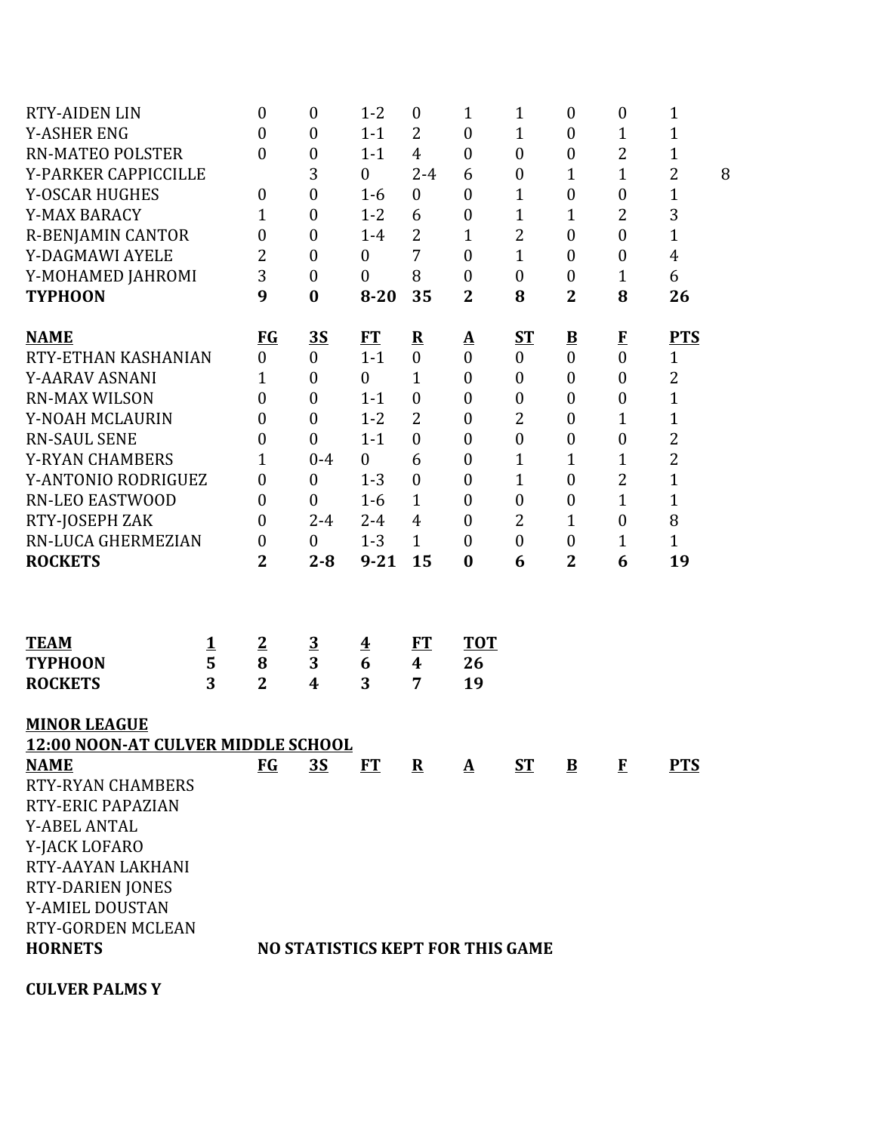| <b>RTY-AIDEN LIN</b>                      |          | 0                | $\boldsymbol{0}$        | $1 - 2$                 | $\boldsymbol{0}$ | $\mathbf{1}$                            | $\mathbf 1$      | $\boldsymbol{0}$        | $\boldsymbol{0}$ | $\mathbf{1}$   |   |
|-------------------------------------------|----------|------------------|-------------------------|-------------------------|------------------|-----------------------------------------|------------------|-------------------------|------------------|----------------|---|
| <b>Y-ASHER ENG</b>                        |          | $\boldsymbol{0}$ | $\boldsymbol{0}$        | $1 - 1$                 | $\overline{2}$   | $\boldsymbol{0}$                        | $\mathbf{1}$     | $\boldsymbol{0}$        | 1                | 1              |   |
| <b>RN-MATEO POLSTER</b>                   |          | $\overline{0}$   | $\boldsymbol{0}$        | $1 - 1$                 | $\overline{4}$   | $\boldsymbol{0}$                        | $\boldsymbol{0}$ | $\boldsymbol{0}$        | $\overline{2}$   | 1              |   |
| Y-PARKER CAPPICCILLE                      |          |                  | 3                       | $\boldsymbol{0}$        | $2 - 4$          | 6                                       | $\boldsymbol{0}$ | $\mathbf 1$             | $\mathbf{1}$     | $\overline{2}$ | 8 |
| <b>Y-OSCAR HUGHES</b>                     |          | $\boldsymbol{0}$ | $\boldsymbol{0}$        | $1-6$                   | $\boldsymbol{0}$ | $\boldsymbol{0}$                        | $\mathbf{1}$     | $\boldsymbol{0}$        | $\boldsymbol{0}$ | $\mathbf{1}$   |   |
| Y-MAX BARACY                              |          | 1                | $\boldsymbol{0}$        | $1 - 2$                 | 6                | $\boldsymbol{0}$                        | $\mathbf 1$      | 1                       | $\overline{2}$   | 3              |   |
| <b>R-BENJAMIN CANTOR</b>                  |          | $\overline{0}$   | $\boldsymbol{0}$        | $1 - 4$                 | $\overline{2}$   | $\mathbf{1}$                            | $\overline{2}$   | $\overline{0}$          | $\boldsymbol{0}$ | $\mathbf{1}$   |   |
| Y-DAGMAWI AYELE                           |          | 2                | $\boldsymbol{0}$        | $\boldsymbol{0}$        | 7                | $\boldsymbol{0}$                        | $\mathbf 1$      | $\boldsymbol{0}$        | $\boldsymbol{0}$ | $\overline{4}$ |   |
| Y-MOHAMED JAHROMI                         |          | 3                | $\boldsymbol{0}$        | $\boldsymbol{0}$        | 8                | $\boldsymbol{0}$                        | $\boldsymbol{0}$ | $\boldsymbol{0}$        | $\mathbf 1$      | 6              |   |
| <b>TYPHOON</b>                            |          | 9                | $\bf{0}$                | $8 - 20$                | 35               | $\overline{\mathbf{2}}$                 | 8                | $\overline{2}$          | 8                | 26             |   |
| <b>NAME</b>                               |          | <b>FG</b>        | <u>3S</u>               | ET                      | ${\bf R}$        | $\underline{\mathbf{A}}$                | ST               | $\overline{\mathbf{B}}$ | $\mathbf{F}$     | <b>PTS</b>     |   |
| RTY-ETHAN KASHANIAN                       |          | $\boldsymbol{0}$ | $\boldsymbol{0}$        | $1 - 1$                 | $\boldsymbol{0}$ | $\boldsymbol{0}$                        | $\boldsymbol{0}$ | $\boldsymbol{0}$        | $\boldsymbol{0}$ | $\mathbf{1}$   |   |
| Y-AARAV ASNANI                            |          | 1                | $\boldsymbol{0}$        | $\boldsymbol{0}$        | $\mathbf 1$      | $\boldsymbol{0}$                        | $\boldsymbol{0}$ | $\boldsymbol{0}$        | $\boldsymbol{0}$ | $\overline{2}$ |   |
| <b>RN-MAX WILSON</b>                      |          | $\overline{0}$   | $\boldsymbol{0}$        | $1 - 1$                 | $\overline{0}$   | $\boldsymbol{0}$                        | $\boldsymbol{0}$ | $\mathbf{0}$            | $\boldsymbol{0}$ | $\mathbf{1}$   |   |
| Y-NOAH MCLAURIN                           |          | 0                | $\boldsymbol{0}$        | $1 - 2$                 | $\overline{2}$   | $\boldsymbol{0}$                        | 2                | $\boldsymbol{0}$        | $\mathbf{1}$     | $\mathbf{1}$   |   |
| <b>RN-SAUL SENE</b>                       |          | 0                | $\boldsymbol{0}$        | $1 - 1$                 | $\overline{0}$   | $\boldsymbol{0}$                        | $\boldsymbol{0}$ | $\boldsymbol{0}$        | $\boldsymbol{0}$ | $\overline{2}$ |   |
| <b>Y-RYAN CHAMBERS</b>                    |          | 1                | $0 - 4$                 | $\mathbf{0}$            | 6                | $\boldsymbol{0}$                        | 1                | 1                       | 1                | $\overline{2}$ |   |
| Y-ANTONIO RODRIGUEZ                       |          | $\boldsymbol{0}$ | $\boldsymbol{0}$        | $1 - 3$                 | $\overline{0}$   | $\boldsymbol{0}$                        | $\mathbf{1}$     | $\overline{0}$          | $\overline{2}$   | $\mathbf{1}$   |   |
| <b>RN-LEO EASTWOOD</b>                    |          | $\boldsymbol{0}$ | $\boldsymbol{0}$        | $1 - 6$                 | $\mathbf{1}$     | $\boldsymbol{0}$                        | $\boldsymbol{0}$ | $\boldsymbol{0}$        | $\mathbf{1}$     | $\mathbf{1}$   |   |
| RTY-JOSEPH ZAK                            |          | $\boldsymbol{0}$ | $2 - 4$                 | $2 - 4$                 | 4                | $\mathbf{0}$                            | 2                | $\mathbf{1}$            | $\boldsymbol{0}$ | 8              |   |
| RN-LUCA GHERMEZIAN                        |          | $\boldsymbol{0}$ | $\boldsymbol{0}$        | $1 - 3$                 | $\mathbf{1}$     | $\mathbf{0}$                            | $\boldsymbol{0}$ | $\boldsymbol{0}$        | 1                | $\mathbf{1}$   |   |
| <b>ROCKETS</b>                            |          | $\overline{2}$   | $2 - 8$                 | $9 - 21$                | 15               | $\bf{0}$                                | 6                | $\overline{\mathbf{2}}$ | 6                | 19             |   |
|                                           |          |                  |                         |                         |                  |                                         |                  |                         |                  |                |   |
| <b>TEAM</b>                               | <u>1</u> | $\overline{2}$   | $\overline{\mathbf{3}}$ | $\overline{\mathbf{4}}$ | FT               | <b>TOT</b>                              |                  |                         |                  |                |   |
| <b>TYPHOON</b>                            | 5        | 8                | 3                       | 6                       | 4                | 26                                      |                  |                         |                  |                |   |
| <b>ROCKETS</b>                            | 3        | $\overline{2}$   | $\overline{\mathbf{4}}$ | 3                       | 7                | 19                                      |                  |                         |                  |                |   |
| <b>MINOR LEAGUE</b>                       |          |                  |                         |                         |                  |                                         |                  |                         |                  |                |   |
| <b>12:00 NOON-AT CULVER MIDDLE SCHOOL</b> |          |                  |                         |                         |                  |                                         |                  |                         |                  |                |   |
| <b>NAME</b>                               |          | FG               | <u>35</u>               | <b>FT</b>               | $\bf R$          | $\mathbf{A}$                            | <b>ST</b>        | B                       | F                | <b>PTS</b>     |   |
| <b>RTY-RYAN CHAMBERS</b>                  |          |                  |                         |                         |                  |                                         |                  |                         |                  |                |   |
| <b>RTY-ERIC PAPAZIAN</b>                  |          |                  |                         |                         |                  |                                         |                  |                         |                  |                |   |
| <b>Y-ABEL ANTAL</b>                       |          |                  |                         |                         |                  |                                         |                  |                         |                  |                |   |
| Y-JACK LOFARO                             |          |                  |                         |                         |                  |                                         |                  |                         |                  |                |   |
| RTY-AAYAN LAKHANI                         |          |                  |                         |                         |                  |                                         |                  |                         |                  |                |   |
| <b>RTY-DARIEN JONES</b>                   |          |                  |                         |                         |                  |                                         |                  |                         |                  |                |   |
| Y-AMIEL DOUSTAN                           |          |                  |                         |                         |                  |                                         |                  |                         |                  |                |   |
| RTY-GORDEN MCLEAN                         |          |                  |                         |                         |                  |                                         |                  |                         |                  |                |   |
| <b>HORNETS</b>                            |          |                  |                         |                         |                  | <b>NO STATISTICS KEPT FOR THIS GAME</b> |                  |                         |                  |                |   |
| <b>CULVER PALMS Y</b>                     |          |                  |                         |                         |                  |                                         |                  |                         |                  |                |   |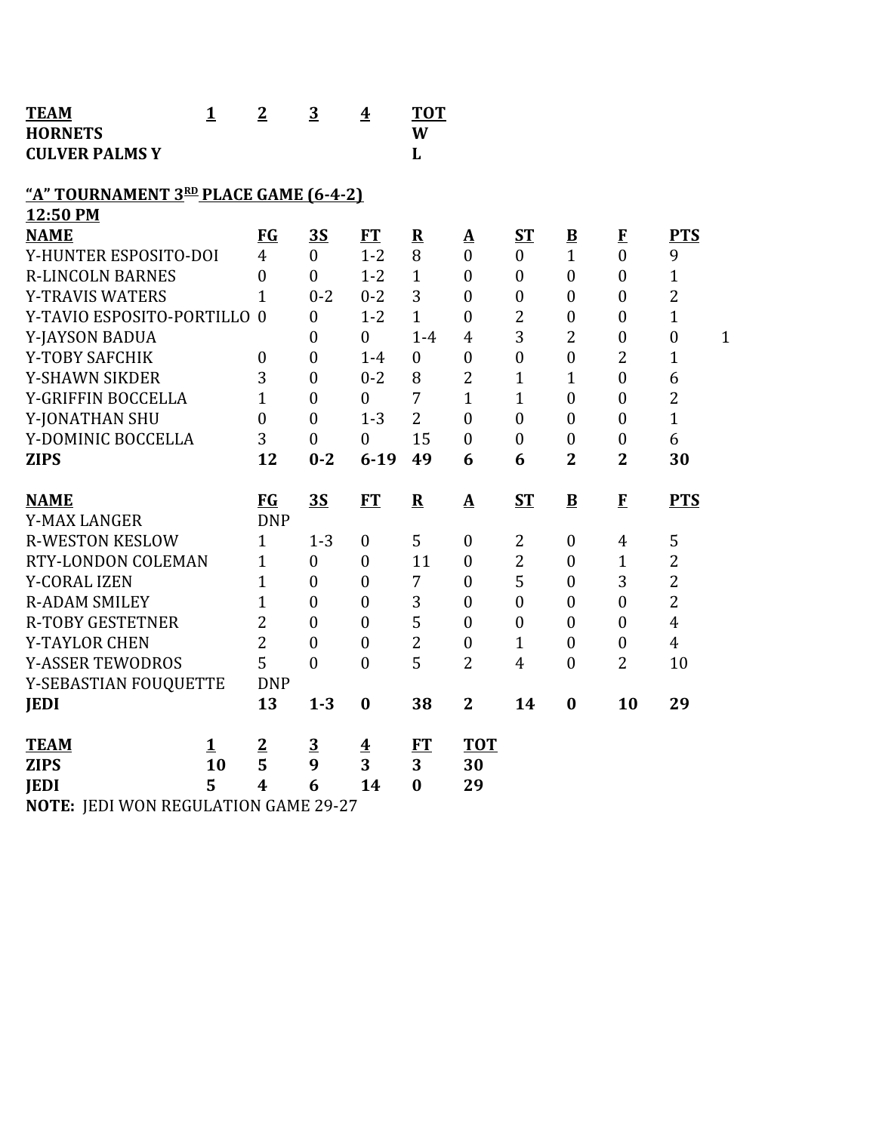| <b>TEAM</b>                             | $\mathbf{1}$ | $\overline{2}$   | $\overline{3}$   | $\overline{\textbf{4}}$ | <b>TOT</b>     |                  |                  |                          |                  |                  |              |
|-----------------------------------------|--------------|------------------|------------------|-------------------------|----------------|------------------|------------------|--------------------------|------------------|------------------|--------------|
| <b>HORNETS</b><br><b>CULVER PALMS Y</b> |              |                  |                  |                         | W<br>L         |                  |                  |                          |                  |                  |              |
|                                         |              |                  |                  |                         |                |                  |                  |                          |                  |                  |              |
| "A" TOURNAMENT 3RD PLACE GAME (6-4-2)   |              |                  |                  |                         |                |                  |                  |                          |                  |                  |              |
| 12:50 PM                                |              |                  |                  |                         |                |                  |                  |                          |                  |                  |              |
| <b>NAME</b>                             |              | <b>FG</b>        | <b>3S</b>        | <b>FT</b>               | ${\bf R}$      | Δ                | $S_{\rm T}$      | $\underline{\mathbf{B}}$ | $\bf{F}$         | <b>PTS</b>       |              |
| Y-HUNTER ESPOSITO-DOI                   |              | $\overline{4}$   | $\theta$         | $1 - 2$                 | 8              | $\overline{0}$   | $\mathbf{0}$     | $\mathbf{1}$             | $\theta$         | 9                |              |
| <b>R-LINCOLN BARNES</b>                 |              | $\mathbf{0}$     | $\theta$         | $1 - 2$                 | $\mathbf{1}$   | $\overline{0}$   | $\boldsymbol{0}$ | $\mathbf{0}$             | $\mathbf{0}$     | $\mathbf{1}$     |              |
| <b>Y-TRAVIS WATERS</b>                  |              | $\overline{1}$   | $0 - 2$          | $0 - 2$                 | 3              | $\overline{0}$   | $\mathbf{0}$     | $\overline{0}$           | $\mathbf{0}$     | $\overline{2}$   |              |
| Y-TAVIO ESPOSITO-PORTILLO 0             |              |                  | $\boldsymbol{0}$ | $1 - 2$                 | $\mathbf{1}$   | $\boldsymbol{0}$ | $\overline{2}$   | $\boldsymbol{0}$         | $\boldsymbol{0}$ | $\mathbf{1}$     |              |
| Y-JAYSON BADUA                          |              |                  | $\boldsymbol{0}$ | $\overline{0}$          | $1-4$          | $\overline{4}$   | 3                | $\overline{2}$           | $\boldsymbol{0}$ | $\boldsymbol{0}$ | $\mathbf{1}$ |
| Y-TOBY SAFCHIK                          |              | $\boldsymbol{0}$ | $\mathbf{0}$     | $1-4$                   | $\mathbf{0}$   | $\overline{0}$   | $\overline{0}$   | $\overline{0}$           | $\overline{2}$   | $\mathbf{1}$     |              |
| <b>Y-SHAWN SIKDER</b>                   |              | 3                | $\mathbf{0}$     | $0 - 2$                 | 8              | $\overline{2}$   | 1                | $\mathbf{1}$             | $\mathbf{0}$     | 6                |              |
| Y-GRIFFIN BOCCELLA                      |              | 1                | $\mathbf{0}$     | $\boldsymbol{0}$        | 7              | $\mathbf{1}$     | $\mathbf 1$      | $\overline{0}$           | $\mathbf{0}$     | $\overline{2}$   |              |
| Y-JONATHAN SHU                          |              | $\overline{0}$   | $\mathbf{0}$     | $1 - 3$                 | $\overline{2}$ | $\overline{0}$   | $\mathbf{0}$     | $\overline{0}$           | $\overline{0}$   | $\mathbf{1}$     |              |
| Y-DOMINIC BOCCELLA                      |              | 3                | $\boldsymbol{0}$ | $\boldsymbol{0}$        | 15             | $\boldsymbol{0}$ | $\boldsymbol{0}$ | $\boldsymbol{0}$         | $\boldsymbol{0}$ | 6                |              |
|                                         |              | 12               | $0 - 2$          | $6 - 19$                | 49             | 6                | 6                | $\overline{2}$           | $\overline{2}$   | 30               |              |
| <b>ZIPS</b>                             |              |                  |                  |                         |                |                  |                  |                          |                  |                  |              |
|                                         |              |                  |                  |                         |                |                  |                  |                          |                  |                  |              |
| <b>NAME</b>                             |              | <b>FG</b>        | <b>3S</b>        | <b>FT</b>               | $\mathbf R$    | ${\bf A}$        | ST               | $\bf{B}$                 | $\mathbf{F}$     | <b>PTS</b>       |              |
| <b>Y-MAX LANGER</b>                     |              | <b>DNP</b>       |                  |                         |                |                  |                  |                          |                  |                  |              |
| <b>R-WESTON KESLOW</b>                  |              | $\mathbf{1}$     | $1 - 3$          | $\boldsymbol{0}$        | 5              | $\boldsymbol{0}$ | $\overline{2}$   | $\mathbf{0}$             | $\overline{4}$   | 5                |              |
| RTY-LONDON COLEMAN                      |              | $\mathbf{1}$     | $\boldsymbol{0}$ | $\boldsymbol{0}$        | 11             | $\boldsymbol{0}$ | $\overline{2}$   | $\boldsymbol{0}$         | $\mathbf{1}$     | $\overline{2}$   |              |
| <b>Y-CORAL IZEN</b>                     |              | $\overline{1}$   | $\mathbf{0}$     | $\boldsymbol{0}$        | 7              | $\boldsymbol{0}$ | 5                | $\boldsymbol{0}$         | 3                | $\overline{2}$   |              |
| <b>R-ADAM SMILEY</b>                    |              | $\mathbf{1}$     | $\theta$         | $\boldsymbol{0}$        | 3              | $\mathbf{0}$     | $\overline{0}$   | $\mathbf{0}$             | $\overline{0}$   | $\overline{2}$   |              |
| <b>R-TOBY GESTETNER</b>                 |              | 2                | $\theta$         | $\overline{0}$          | 5              | $\overline{0}$   | $\mathbf{0}$     | $\mathbf{0}$             | $\mathbf{0}$     | $\overline{4}$   |              |
| Y-TAYLOR CHEN                           |              | $\overline{2}$   | $\theta$         | $\boldsymbol{0}$        | $\overline{2}$ | $\boldsymbol{0}$ | 1                | $\boldsymbol{0}$         | $\boldsymbol{0}$ | $\overline{4}$   |              |
| <b>Y-ASSER TEWODROS</b>                 |              | 5                | $\overline{0}$   | $\mathbf{0}$            | 5              | $\overline{2}$   | $\overline{4}$   | $\boldsymbol{0}$         | $\overline{2}$   | 10               |              |
| Y-SEBASTIAN FOUQUETTE                   |              | <b>DNP</b>       |                  |                         |                | $\overline{2}$   | 14               | $\bf{0}$                 |                  |                  |              |
| <b>JEDI</b>                             |              | 13               | $1 - 3$          | $\bf{0}$                | 38             |                  |                  |                          | 10               | 29               |              |
| <b>TEAM</b>                             | 1            | $\overline{2}$   | $\overline{3}$   | $\overline{\mathbf{4}}$ | FT             | <b>TOT</b>       |                  |                          |                  |                  |              |
| <b>ZIPS</b>                             | 10           | 5                | 9                | 3                       | 3              | 30               |                  |                          |                  |                  |              |
| <b>JEDI</b>                             | 5            | $\boldsymbol{4}$ | 6                | 14                      | $\bf{0}$       | 29               |                  |                          |                  |                  |              |

**NOTE:** JEDI WON REGULATION GAME 29-27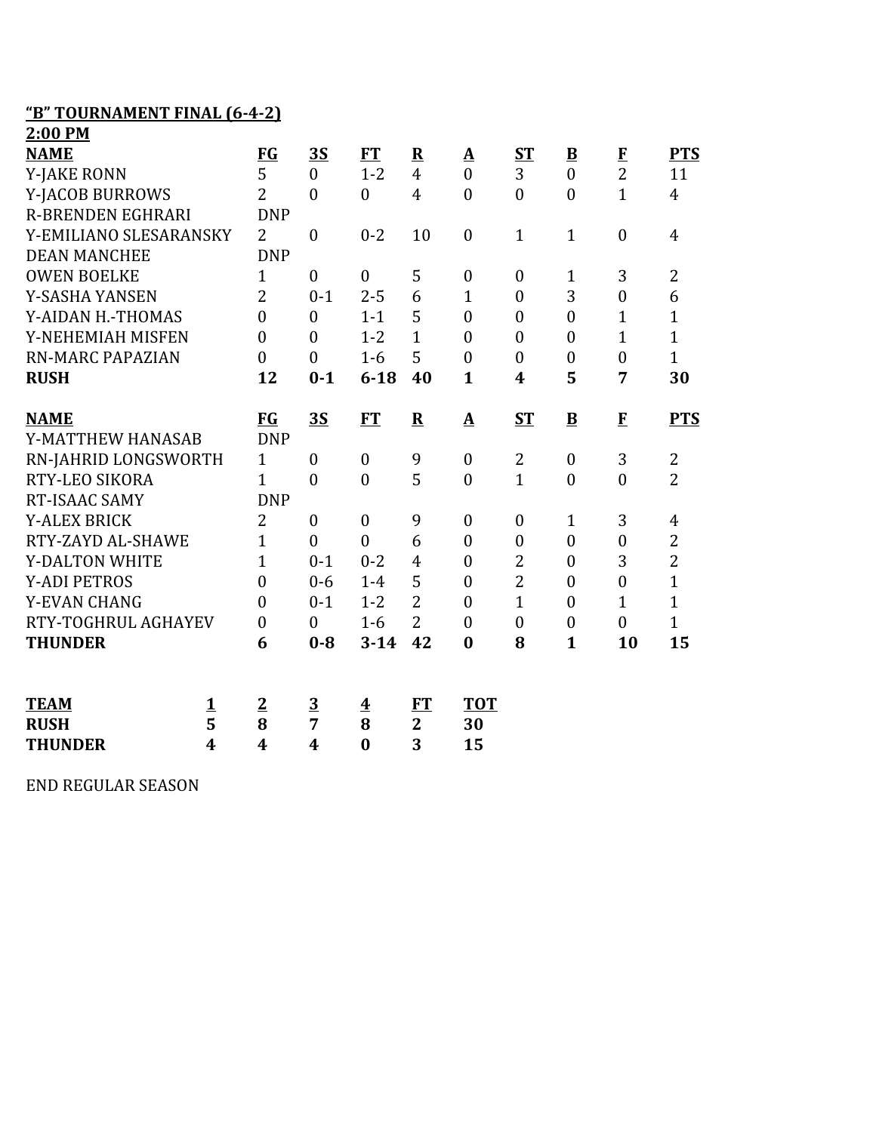## **"B" TOURNAMENT FINAL (6-4-2)**

| 2:00 PM                  |                         |                  |                  |                         |                |                          |                  |                          |                  |                |
|--------------------------|-------------------------|------------------|------------------|-------------------------|----------------|--------------------------|------------------|--------------------------|------------------|----------------|
| <b>NAME</b>              |                         | FG               | <u>35</u>        | <b>FT</b>               | ${\bf R}$      | $\underline{\mathbf{A}}$ | ST               | $\underline{\mathbf{B}}$ | $\bf{F}$         | <b>PTS</b>     |
| <b>Y-JAKE RONN</b>       |                         | 5                | $\overline{0}$   | $1 - 2$                 | $\overline{4}$ | $\overline{0}$           | 3                | $\overline{0}$           | $\overline{2}$   | 11             |
| Y-JACOB BURROWS          |                         | $\overline{2}$   | $\overline{0}$   | $\overline{0}$          | $\overline{4}$ | $\mathbf{0}$             | $\overline{0}$   | $\overline{0}$           | $\mathbf{1}$     | $\overline{4}$ |
| <b>R-BRENDEN EGHRARI</b> |                         | <b>DNP</b>       |                  |                         |                |                          |                  |                          |                  |                |
| Y-EMILIANO SLESARANSKY   |                         | $\overline{2}$   | $\boldsymbol{0}$ | $0 - 2$                 | 10             | $\boldsymbol{0}$         | $\mathbf{1}$     | $\mathbf{1}$             | $\mathbf{0}$     | $\overline{4}$ |
| <b>DEAN MANCHEE</b>      |                         | <b>DNP</b>       |                  |                         |                |                          |                  |                          |                  |                |
| <b>OWEN BOELKE</b>       |                         | $\mathbf{1}$     | $\boldsymbol{0}$ | $\boldsymbol{0}$        | 5              | $\boldsymbol{0}$         | $\boldsymbol{0}$ | $\mathbf{1}$             | 3                | $\overline{2}$ |
| Y-SASHA YANSEN           |                         | $\overline{2}$   | $0 - 1$          | $2 - 5$                 | 6              | $\mathbf{1}$             | $\overline{0}$   | 3                        | $\overline{0}$   | 6              |
| Y-AIDAN H.-THOMAS        |                         | $\overline{0}$   | $\overline{0}$   | $1 - 1$                 | 5              | $\mathbf{0}$             | $\boldsymbol{0}$ | $\overline{0}$           | $\mathbf{1}$     | $\mathbf{1}$   |
| Y-NEHEMIAH MISFEN        |                         | $\overline{0}$   | $\mathbf{0}$     | $1 - 2$                 | $\mathbf{1}$   | $\mathbf{0}$             | $\boldsymbol{0}$ | $\boldsymbol{0}$         | $\overline{1}$   | $\mathbf{1}$   |
| <b>RN-MARC PAPAZIAN</b>  |                         | $\overline{0}$   | $\mathbf{0}$     | $1-6$                   | 5              | $\overline{0}$           | $\overline{0}$   | $\boldsymbol{0}$         | $\mathbf{0}$     | $\mathbf{1}$   |
| <b>RUSH</b>              |                         | 12               | $0 - 1$          | $6 - 18$                | 40             | $\mathbf{1}$             | $\boldsymbol{4}$ | 5                        | 7                | 30             |
| <b>NAME</b>              |                         | <b>FG</b>        | 3S               | FT                      | $\mathbf R$    | $\underline{A}$          | <b>ST</b>        | $\overline{\mathbf{B}}$  | $\mathbf{F}$     | <b>PTS</b>     |
| Y-MATTHEW HANASAB        |                         | <b>DNP</b>       |                  |                         |                |                          |                  |                          |                  |                |
| RN-JAHRID LONGSWORTH     |                         | $\mathbf{1}$     | $\boldsymbol{0}$ | $\overline{0}$          | 9              | $\mathbf{0}$             | 2                | $\boldsymbol{0}$         | 3                | $\overline{2}$ |
| RTY-LEO SIKORA           |                         | $\mathbf{1}$     | $\boldsymbol{0}$ | $\overline{0}$          | 5              | $\boldsymbol{0}$         | $\mathbf{1}$     | $\boldsymbol{0}$         | $\boldsymbol{0}$ | $\overline{2}$ |
| RT-ISAAC SAMY            |                         | <b>DNP</b>       |                  |                         |                |                          |                  |                          |                  |                |
| <b>Y-ALEX BRICK</b>      |                         | $\overline{2}$   | $\boldsymbol{0}$ | $\boldsymbol{0}$        | 9              | $\boldsymbol{0}$         | $\boldsymbol{0}$ | $\mathbf{1}$             | 3                | 4              |
| RTY-ZAYD AL-SHAWE        |                         | $\mathbf{1}$     | $\mathbf{0}$     | $\theta$                | 6              | $\mathbf{0}$             | $\overline{0}$   | $\overline{0}$           | $\overline{0}$   | $\overline{2}$ |
| <b>Y-DALTON WHITE</b>    |                         | $\mathbf{1}$     | $0 - 1$          | $0 - 2$                 | $\overline{4}$ | $\boldsymbol{0}$         | $\overline{c}$   | $\boldsymbol{0}$         | 3                | $\overline{c}$ |
| <b>Y-ADI PETROS</b>      |                         | $\overline{0}$   | $0 - 6$          | $1-4$                   | 5              | $\boldsymbol{0}$         | $\overline{2}$   | $\boldsymbol{0}$         | $\mathbf{0}$     | $\overline{1}$ |
| <b>Y-EVAN CHANG</b>      |                         | $\mathbf{0}$     | $0 - 1$          | $1 - 2$                 | $\overline{2}$ | $\theta$                 | $\mathbf{1}$     | $\overline{0}$           | $\mathbf{1}$     | $\mathbf{1}$   |
| RTY-TOGHRUL AGHAYEV      |                         | $\boldsymbol{0}$ | $\boldsymbol{0}$ | $1-6$                   | $\overline{2}$ | $\boldsymbol{0}$         | $\boldsymbol{0}$ | $\boldsymbol{0}$         | $\boldsymbol{0}$ | $\mathbf{1}$   |
| <b>THUNDER</b>           |                         | 6                | $0 - 8$          | $3 - 14$                | 42             | $\bf{0}$                 | 8                | $\mathbf{1}$             | 10               | 15             |
|                          |                         |                  |                  |                         |                |                          |                  |                          |                  |                |
|                          |                         |                  |                  |                         |                |                          |                  |                          |                  |                |
| <b>TEAM</b>              | <u>1</u>                | $\overline{2}$   | $\overline{3}$   | $\overline{\textbf{4}}$ | FT             | <b>TOT</b>               |                  |                          |                  |                |
| <b>RUSH</b>              | 5                       | 8                | 7                | 8                       | $\overline{2}$ | 30                       |                  |                          |                  |                |
| <b>THUNDER</b>           | $\overline{\mathbf{4}}$ | 4                | $\boldsymbol{4}$ | $\bf{0}$                | 3              | 15                       |                  |                          |                  |                |

END REGULAR SEASON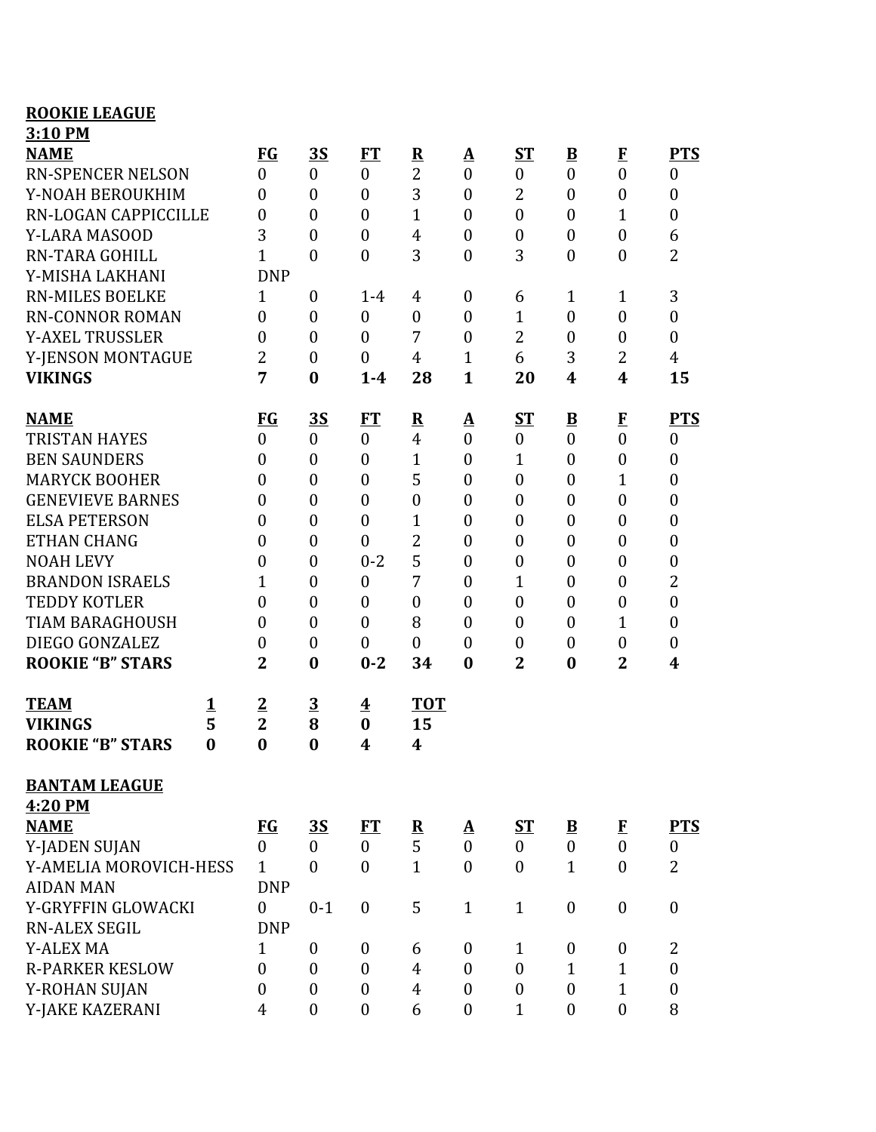| <b>ROOKIE LEAGUE</b>     |          |                  |                  |                         |                                           |                          |                  |                                      |                              |                  |
|--------------------------|----------|------------------|------------------|-------------------------|-------------------------------------------|--------------------------|------------------|--------------------------------------|------------------------------|------------------|
| 3:10 PM                  |          |                  |                  |                         |                                           |                          |                  |                                      |                              |                  |
| <b>NAME</b>              |          | <b>FG</b>        | <b>3S</b>        | <b>FT</b>               | ${\bf R}$                                 | $\Delta$                 | $S_{\rm T}$      | $\overline{\mathbf{B}}$              | $\bf{F}$                     | <b>PTS</b>       |
| <b>RN-SPENCER NELSON</b> |          | $\boldsymbol{0}$ | $\theta$         | $\boldsymbol{0}$        | $\overline{2}$                            | $\mathbf{0}$             | $\mathbf{0}$     | $\overline{0}$                       | $\mathbf{0}$                 | $\boldsymbol{0}$ |
| Y-NOAH BEROUKHIM         |          | $\overline{0}$   | $\mathbf{0}$     | $\boldsymbol{0}$        | 3                                         | $\boldsymbol{0}$         | $\overline{2}$   | $\overline{0}$                       | $\boldsymbol{0}$             | $\mathbf{0}$     |
| RN-LOGAN CAPPICCILLE     |          | $\overline{0}$   | $\theta$         | $\mathbf{0}$            | 1                                         | $\boldsymbol{0}$         | $\theta$         | $\overline{0}$                       | $\mathbf{1}$                 | $\boldsymbol{0}$ |
| Y-LARA MASOOD            |          | 3                | $\theta$         | $\overline{0}$          | 4                                         | $\boldsymbol{0}$         | $\overline{0}$   | $\boldsymbol{0}$                     | $\overline{0}$               | 6                |
| <b>RN-TARA GOHILL</b>    |          | 1                | $\mathbf{0}$     | $\boldsymbol{0}$        | 3                                         | $\boldsymbol{0}$         | 3                | $\boldsymbol{0}$                     | $\boldsymbol{0}$             | $\overline{2}$   |
| Y-MISHA LAKHANI          |          | <b>DNP</b>       |                  |                         |                                           |                          |                  |                                      |                              |                  |
| <b>RN-MILES BOELKE</b>   |          | $\mathbf{1}$     | $\boldsymbol{0}$ | $1 - 4$                 | 4                                         | $\boldsymbol{0}$         | 6                | $\mathbf{1}$                         | $\mathbf{1}$                 | 3                |
| <b>RN-CONNOR ROMAN</b>   |          | $\theta$         | $\theta$         | $\boldsymbol{0}$        | $\boldsymbol{0}$                          | $\overline{0}$           | 1                | $\mathbf{0}$                         | $\boldsymbol{0}$             | $\overline{0}$   |
| <b>Y-AXEL TRUSSLER</b>   |          | $\theta$         | $\boldsymbol{0}$ | $\overline{0}$          | 7                                         | $\boldsymbol{0}$         | $\overline{2}$   | $\boldsymbol{0}$                     | $\boldsymbol{0}$             | $\boldsymbol{0}$ |
| Y-JENSON MONTAGUE        |          | 2                | $\mathbf{0}$     | $\mathbf{0}$            | 4                                         | $\mathbf{1}$             | 6                | 3                                    | $\overline{2}$               | $\overline{4}$   |
| <b>VIKINGS</b>           |          | 7                | $\bf{0}$         | $1-4$                   | 28                                        | $\mathbf{1}$             | 20               | $\boldsymbol{4}$                     | 4                            | 15               |
| <b>NAME</b>              |          | <b>FG</b>        | <u>35</u>        |                         |                                           |                          | $S_{\rm T}$      |                                      |                              | <b>PTS</b>       |
| <b>TRISTAN HAYES</b>     |          | $\mathbf{0}$     | $\overline{0}$   | FT<br>$\mathbf{0}$      | $\overline{\mathbf{R}}$<br>$\overline{4}$ | A<br>$\overline{0}$      | $\mathbf{0}$     | $\underline{\mathbf{B}}$<br>$\theta$ | $\bf{F}$<br>$\boldsymbol{0}$ | $\boldsymbol{0}$ |
| <b>BEN SAUNDERS</b>      |          | $\overline{0}$   | $\mathbf{0}$     | $\boldsymbol{0}$        | 1                                         | $\boldsymbol{0}$         | 1                | $\overline{0}$                       | $\boldsymbol{0}$             | $\boldsymbol{0}$ |
| <b>MARYCK BOOHER</b>     |          | $\overline{0}$   | $\theta$         | $\boldsymbol{0}$        | 5                                         | $\boldsymbol{0}$         | $\overline{0}$   | $\boldsymbol{0}$                     | $\mathbf{1}$                 | $\boldsymbol{0}$ |
| <b>GENEVIEVE BARNES</b>  |          | $\theta$         | $\theta$         | $\boldsymbol{0}$        | $\boldsymbol{0}$                          | $\boldsymbol{0}$         | $\overline{0}$   | $\overline{0}$                       | $\boldsymbol{0}$             | $\boldsymbol{0}$ |
| <b>ELSA PETERSON</b>     |          | $\overline{0}$   | $\mathbf{0}$     | $\boldsymbol{0}$        | 1                                         | $\boldsymbol{0}$         | $\overline{0}$   | $\overline{0}$                       | $\boldsymbol{0}$             | $\boldsymbol{0}$ |
| <b>ETHAN CHANG</b>       |          | $\theta$         | $\boldsymbol{0}$ | $\boldsymbol{0}$        | $\overline{2}$                            | $\boldsymbol{0}$         | $\boldsymbol{0}$ | $\boldsymbol{0}$                     | $\boldsymbol{0}$             | $\boldsymbol{0}$ |
| <b>NOAH LEVY</b>         |          | $\overline{0}$   | $\theta$         | $0 - 2$                 | 5                                         | $\boldsymbol{0}$         | $\boldsymbol{0}$ | $\boldsymbol{0}$                     | $\boldsymbol{0}$             | $\boldsymbol{0}$ |
| <b>BRANDON ISRAELS</b>   |          | 1                | $\mathbf{0}$     | $\boldsymbol{0}$        | 7                                         | $\boldsymbol{0}$         | $\overline{1}$   | $\boldsymbol{0}$                     | $\boldsymbol{0}$             | 2                |
| <b>TEDDY KOTLER</b>      |          | $\overline{0}$   | $\theta$         | $\overline{0}$          | $\boldsymbol{0}$                          | $\overline{0}$           | $\overline{0}$   | $\overline{0}$                       | $\boldsymbol{0}$             | $\boldsymbol{0}$ |
| <b>TIAM BARAGHOUSH</b>   |          | $\overline{0}$   | $\mathbf{0}$     | $\overline{0}$          | 8                                         | $\boldsymbol{0}$         | $\boldsymbol{0}$ | $\boldsymbol{0}$                     | $\mathbf{1}$                 | $\boldsymbol{0}$ |
| DIEGO GONZALEZ           |          | $\overline{0}$   | $\overline{0}$   | $\boldsymbol{0}$        | $\boldsymbol{0}$                          | $\boldsymbol{0}$         | $\boldsymbol{0}$ | $\boldsymbol{0}$                     | $\boldsymbol{0}$             | $\boldsymbol{0}$ |
| <b>ROOKIE "B" STARS</b>  |          | $\overline{2}$   | $\bf{0}$         | $0 - 2$                 | 34                                        | $\bf{0}$                 | $\overline{2}$   | $\bf{0}$                             | $\overline{2}$               | 4                |
|                          |          |                  |                  |                         |                                           |                          |                  |                                      |                              |                  |
| <b>TEAM</b>              | <u>1</u> | $\overline{2}$   | $\overline{3}$   | $\overline{\mathbf{4}}$ | <b>TOT</b>                                |                          |                  |                                      |                              |                  |
| <b>VIKINGS</b>           | 5        | $\overline{2}$   | 8                | $\bf{0}$                | 15                                        |                          |                  |                                      |                              |                  |
| <b>ROOKIE "B" STARS</b>  | $\bf{0}$ | $\bf{0}$         | $\bf{0}$         | 4                       | 4                                         |                          |                  |                                      |                              |                  |
| <b>BANTAM LEAGUE</b>     |          |                  |                  |                         |                                           |                          |                  |                                      |                              |                  |
| 4:20 PM                  |          |                  |                  |                         |                                           |                          |                  |                                      |                              |                  |
| <b>NAME</b>              |          | $FG$             | <u>3S</u>        | ET                      | $\overline{\mathbf{R}}$                   | $\underline{\mathbf{A}}$ | <u>ST</u>        | $\overline{B}$                       | $\mathbf{F}$                 | <b>PTS</b>       |
| Y-JADEN SUJAN            |          | $\boldsymbol{0}$ | $\overline{0}$   | $\mathbf{0}$            | 5                                         | $\boldsymbol{0}$         | $\boldsymbol{0}$ | $\boldsymbol{0}$                     | $\boldsymbol{0}$             | $\boldsymbol{0}$ |
| Y-AMELIA MOROVICH-HESS   |          | $\mathbf{1}$     | $\theta$         | $\mathbf{0}$            | $\mathbf{1}$                              | $\boldsymbol{0}$         | $\theta$         | $\mathbf{1}$                         | $\boldsymbol{0}$             | $\overline{2}$   |
| <b>AIDAN MAN</b>         |          | <b>DNP</b>       |                  |                         |                                           |                          |                  |                                      |                              |                  |
| Y-GRYFFIN GLOWACKI       |          | $\mathbf{0}$     | $0 - 1$          | $\boldsymbol{0}$        | 5                                         | $\mathbf{1}$             | $\mathbf{1}$     | $\boldsymbol{0}$                     | $\boldsymbol{0}$             | $\boldsymbol{0}$ |
| <b>RN-ALEX SEGIL</b>     |          | <b>DNP</b>       |                  |                         |                                           |                          |                  |                                      |                              |                  |
| Y-ALEX MA                |          | $\mathbf{1}$     | $\boldsymbol{0}$ | $\boldsymbol{0}$        | 6                                         | 0                        | $\mathbf{1}$     | $\boldsymbol{0}$                     | $\boldsymbol{0}$             | $\overline{2}$   |
| <b>R-PARKER KESLOW</b>   |          | $\boldsymbol{0}$ | $\mathbf{0}$     | $\boldsymbol{0}$        | $\overline{4}$                            | $\boldsymbol{0}$         | $\mathbf{0}$     | $\mathbf{1}$                         | $\mathbf{1}$                 | $\boldsymbol{0}$ |
| Y-ROHAN SUJAN            |          | $\mathbf{0}$     | $\boldsymbol{0}$ | $\boldsymbol{0}$        | $\overline{4}$                            | $\boldsymbol{0}$         | $\boldsymbol{0}$ | $\mathbf{0}$                         | $\mathbf{1}$                 | $\boldsymbol{0}$ |
| Y-JAKE KAZERANI          |          | 4                | $\overline{0}$   | $\boldsymbol{0}$        | 6                                         | $\boldsymbol{0}$         | $\mathbf{1}$     | $\boldsymbol{0}$                     | $\boldsymbol{0}$             | 8                |
|                          |          |                  |                  |                         |                                           |                          |                  |                                      |                              |                  |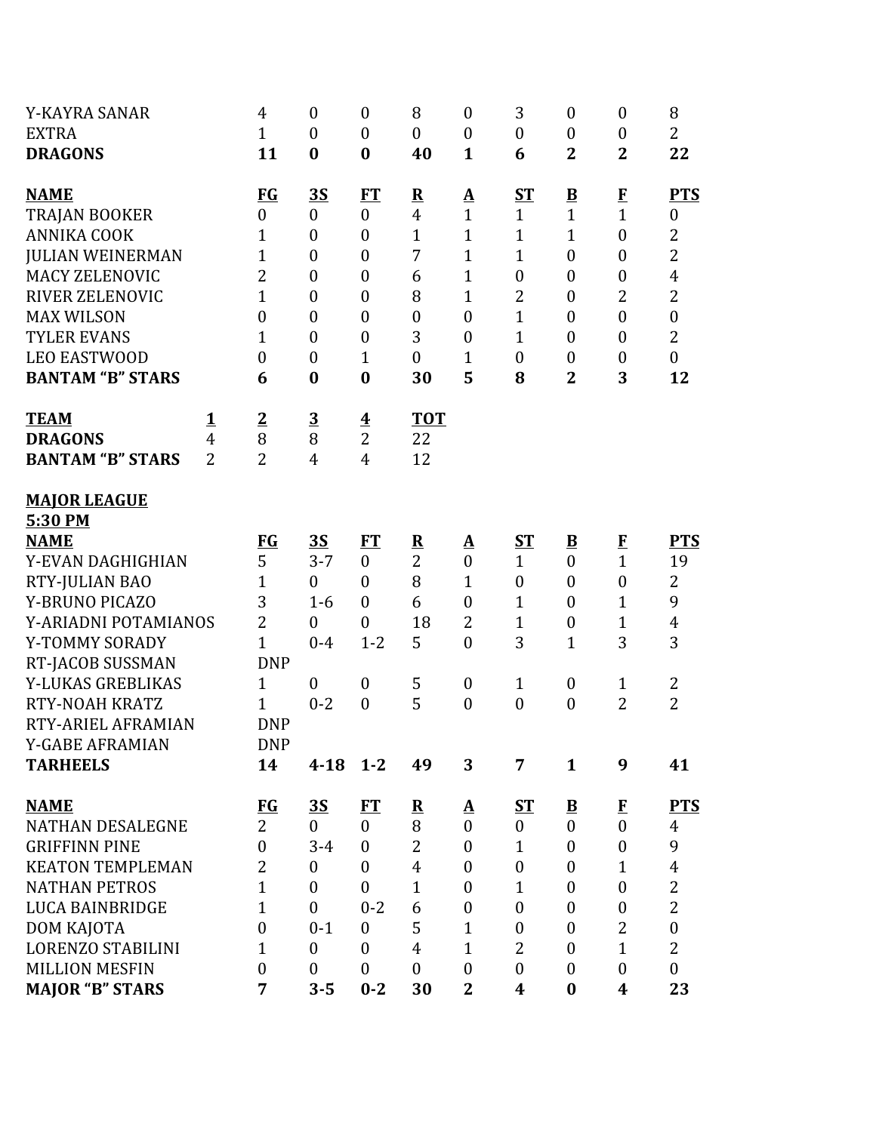| Y-KAYRA SANAR<br><b>EXTRA</b>                                                        |                                     | $\overline{4}$<br>$\mathbf{1}$                                  | $\boldsymbol{0}$<br>$\boldsymbol{0}$                            | $\boldsymbol{0}$<br>$\theta$                                | 8<br>$\overline{0}$                              | $\boldsymbol{0}$<br>$\boldsymbol{0}$                     | 3<br>$\boldsymbol{0}$                                | $\boldsymbol{0}$<br>$\boldsymbol{0}$                                        | $\boldsymbol{0}$<br>$\boldsymbol{0}$                           | 8<br>$\overline{2}$                                                |
|--------------------------------------------------------------------------------------|-------------------------------------|-----------------------------------------------------------------|-----------------------------------------------------------------|-------------------------------------------------------------|--------------------------------------------------|----------------------------------------------------------|------------------------------------------------------|-----------------------------------------------------------------------------|----------------------------------------------------------------|--------------------------------------------------------------------|
| <b>DRAGONS</b>                                                                       |                                     | 11                                                              | $\bf{0}$                                                        | $\bf{0}$                                                    | 40                                               | $\mathbf{1}$                                             | 6                                                    | $\mathbf 2$                                                                 | $\overline{2}$                                                 | 22                                                                 |
| <b>NAME</b><br><b>TRAJAN BOOKER</b><br><b>ANNIKA COOK</b><br><b>JULIAN WEINERMAN</b> |                                     | <b>FG</b><br>$\boldsymbol{0}$<br>$\mathbf{1}$<br>$\overline{1}$ | <u>3S</u><br>$\overline{0}$<br>$\overline{0}$<br>$\overline{0}$ | <b>FT</b><br>$\mathbf{0}$<br>$\mathbf{0}$<br>$\overline{0}$ | ${\bf R}$<br>$\overline{4}$<br>$\mathbf{1}$<br>7 | <u>A</u><br>$\mathbf{1}$<br>$\mathbf{1}$<br>$\mathbf{1}$ | ST<br>$\mathbf{1}$<br>$\mathbf{1}$<br>$\overline{1}$ | $\overline{\mathbf{B}}$<br>$\mathbf{1}$<br>$\mathbf{1}$<br>$\boldsymbol{0}$ | $\bf{F}$<br>$\mathbf{1}$<br>$\boldsymbol{0}$<br>$\overline{0}$ | <b>PTS</b><br>$\boldsymbol{0}$<br>$\overline{2}$<br>$\overline{2}$ |
| <b>MACY ZELENOVIC</b>                                                                |                                     | $\overline{2}$                                                  | $\boldsymbol{0}$                                                | $\theta$                                                    | 6                                                | $\mathbf{1}$                                             | $\boldsymbol{0}$                                     | $\boldsymbol{0}$                                                            | $\boldsymbol{0}$                                               | $\overline{4}$                                                     |
| <b>RIVER ZELENOVIC</b><br><b>MAX WILSON</b>                                          |                                     | $\overline{1}$<br>$\boldsymbol{0}$                              | $\overline{0}$<br>$\overline{0}$                                | $\theta$<br>$\theta$                                        | 8<br>$\boldsymbol{0}$                            | $\mathbf{1}$<br>$\mathbf{0}$                             | $\overline{2}$<br>$\mathbf{1}$                       | $\boldsymbol{0}$<br>$\boldsymbol{0}$                                        | $\overline{2}$<br>$\overline{0}$                               | $\overline{2}$<br>$\boldsymbol{0}$                                 |
| <b>TYLER EVANS</b><br><b>LEO EASTWOOD</b>                                            |                                     | $\overline{1}$<br>$\boldsymbol{0}$                              | $\overline{0}$<br>$\boldsymbol{0}$                              | $\theta$<br>$\mathbf{1}$                                    | 3<br>$\boldsymbol{0}$                            | $\overline{0}$<br>$\mathbf{1}$                           | $\mathbf{1}$<br>$\boldsymbol{0}$                     | $\boldsymbol{0}$<br>$\boldsymbol{0}$                                        | $\overline{0}$<br>$\boldsymbol{0}$                             | $\overline{2}$<br>$\boldsymbol{0}$                                 |
| <b>BANTAM "B" STARS</b>                                                              |                                     | 6                                                               | $\bf{0}$                                                        | $\bf{0}$                                                    | 30                                               | 5                                                        | 8                                                    | $\overline{2}$                                                              | 3                                                              | 12                                                                 |
| <b>TEAM</b><br><b>DRAGONS</b><br><b>BANTAM "B" STARS</b>                             | $\mathbf{1}$<br>4<br>$\overline{2}$ | $\overline{2}$<br>8<br>$\overline{2}$                           | $\overline{3}$<br>8<br>$\overline{4}$                           | $\overline{\mathbf{4}}$<br>$\overline{2}$<br>$\overline{4}$ | <b>TOT</b><br>22<br>12                           |                                                          |                                                      |                                                                             |                                                                |                                                                    |
| <b>MAJOR LEAGUE</b><br>5:30 PM                                                       |                                     |                                                                 |                                                                 |                                                             |                                                  |                                                          |                                                      |                                                                             |                                                                |                                                                    |
| <b>NAME</b>                                                                          |                                     | <b>FG</b>                                                       | <b>3S</b>                                                       | FT                                                          | ${\bf R}$                                        | $\mathbf{\Delta}$                                        | $S_{\rm T}$                                          | $\overline{\mathbf{B}}$                                                     | $\mathbf{F}$                                                   | <b>PTS</b>                                                         |
| Y-EVAN DAGHIGHIAN                                                                    |                                     | 5                                                               | $3 - 7$                                                         | $\mathbf{0}$                                                | $\overline{2}$                                   | $\boldsymbol{0}$                                         | $\mathbf{1}$                                         | $\boldsymbol{0}$                                                            | $\mathbf{1}$                                                   | 19                                                                 |
| RTY-JULIAN BAO                                                                       |                                     | $\overline{1}$                                                  | $\overline{0}$                                                  | $\mathbf{0}$                                                | 8                                                | $\mathbf{1}$                                             | $\boldsymbol{0}$                                     | $\boldsymbol{0}$                                                            | $\overline{0}$                                                 | $\overline{2}$                                                     |
| Y-BRUNO PICAZO                                                                       |                                     | 3                                                               | $1-6$                                                           | $\overline{0}$                                              | 6                                                | $\boldsymbol{0}$                                         | $\mathbf{1}$                                         | $\boldsymbol{0}$                                                            | $\mathbf{1}$                                                   | 9                                                                  |
| Y-ARIADNI POTAMIANOS                                                                 |                                     | $\overline{2}$                                                  | $\overline{0}$                                                  | $\overline{0}$                                              | 18                                               | $\overline{2}$                                           | $\mathbf{1}$                                         | $\boldsymbol{0}$                                                            | $\mathbf{1}$                                                   | $\overline{4}$                                                     |
| Y-TOMMY SORADY<br>RT-JACOB SUSSMAN                                                   |                                     | $\overline{1}$<br><b>DNP</b>                                    | $0 - 4$                                                         | $1 - 2$                                                     | 5                                                | $\mathbf{0}$                                             | 3                                                    | 1                                                                           | 3                                                              | 3                                                                  |
| Y-LUKAS GREBLIKAS                                                                    |                                     | $\mathbf{1}$                                                    | $\boldsymbol{0}$                                                | $\boldsymbol{0}$                                            | 5                                                | $\boldsymbol{0}$                                         | $\mathbf{1}$                                         | $\boldsymbol{0}$                                                            | $\mathbf{1}$                                                   | $\overline{2}$                                                     |
| <b>RTY-NOAH KRATZ</b>                                                                |                                     | 1                                                               | $0 - 2$                                                         | $\overline{0}$                                              | 5                                                | $\overline{0}$                                           | $\boldsymbol{0}$                                     | $\boldsymbol{0}$                                                            | $\overline{2}$                                                 | $\overline{2}$                                                     |
| RTY-ARIEL AFRAMIAN                                                                   |                                     | <b>DNP</b>                                                      |                                                                 |                                                             |                                                  |                                                          |                                                      |                                                                             |                                                                |                                                                    |
| Y-GABE AFRAMIAN                                                                      |                                     | <b>DNP</b>                                                      |                                                                 |                                                             |                                                  |                                                          |                                                      |                                                                             |                                                                |                                                                    |
| <b>TARHEELS</b>                                                                      |                                     | 14                                                              | $4 - 18$                                                        | $1 - 2$                                                     | 49                                               | 3                                                        | 7                                                    | $\mathbf{1}$                                                                | 9                                                              | 41                                                                 |
| <b>NAME</b>                                                                          |                                     | $FG$                                                            | <u>35</u>                                                       | FT                                                          | $\overline{\mathbf{R}}$                          | <u>A</u>                                                 | $S_{\rm T}$                                          | $\underline{\mathbf{B}}$                                                    | $\bf{F}$                                                       | <b>PTS</b>                                                         |
| <b>NATHAN DESALEGNE</b>                                                              |                                     | $\overline{2}$                                                  | $\boldsymbol{0}$                                                | $\mathbf{0}$                                                | 8<br>$\overline{2}$                              | $\mathbf{0}$                                             | $\overline{0}$                                       | $\boldsymbol{0}$                                                            | $\mathbf{0}$                                                   | 4<br>9                                                             |
| <b>GRIFFINN PINE</b>                                                                 |                                     | $\boldsymbol{0}$<br>$\overline{2}$                              | $3 - 4$                                                         | $\mathbf{0}$                                                |                                                  | $\boldsymbol{0}$                                         | $\mathbf{1}$                                         | $\boldsymbol{0}$                                                            | $\boldsymbol{0}$                                               |                                                                    |
| <b>KEATON TEMPLEMAN</b><br><b>NATHAN PETROS</b>                                      |                                     | $\overline{1}$                                                  | $\boldsymbol{0}$<br>$\overline{0}$                              | $\mathbf{0}$<br>$\mathbf{0}$                                | $\overline{4}$<br>$\mathbf{1}$                   | $\boldsymbol{0}$<br>$\boldsymbol{0}$                     | $\boldsymbol{0}$<br>1                                | $\boldsymbol{0}$<br>$\boldsymbol{0}$                                        | $\mathbf{1}$<br>$\overline{0}$                                 | $\overline{4}$<br>$\overline{2}$                                   |
| <b>LUCA BAINBRIDGE</b>                                                               |                                     | $\overline{1}$                                                  | $\overline{0}$                                                  | $0 - 2$                                                     | 6                                                | $\boldsymbol{0}$                                         | $\boldsymbol{0}$                                     | $\boldsymbol{0}$                                                            | $\mathbf{0}$                                                   | $\overline{2}$                                                     |
| DOM KAJOTA                                                                           |                                     | $\boldsymbol{0}$                                                | $0 - 1$                                                         | $\mathbf{0}$                                                | 5                                                | $\mathbf{1}$                                             | $\boldsymbol{0}$                                     | $\boldsymbol{0}$                                                            | $\overline{2}$                                                 | $\boldsymbol{0}$                                                   |
| LORENZO STABILINI                                                                    |                                     | 1                                                               | $\overline{0}$                                                  | $\theta$                                                    | $\overline{4}$                                   | $\mathbf{1}$                                             | 2                                                    | $\boldsymbol{0}$                                                            | $\mathbf{1}$                                                   | $\overline{2}$                                                     |
| <b>MILLION MESFIN</b>                                                                |                                     | $\boldsymbol{0}$                                                | $\boldsymbol{0}$                                                | $\mathbf{0}$                                                | $\boldsymbol{0}$                                 | $\boldsymbol{0}$                                         | $\boldsymbol{0}$                                     | $\boldsymbol{0}$                                                            | $\mathbf{0}$                                                   | $\boldsymbol{0}$                                                   |
| <b>MAJOR "B" STARS</b>                                                               |                                     | 7                                                               | $3 - 5$                                                         | $0 - 2$                                                     | 30                                               | $\overline{2}$                                           | 4                                                    | $\bf{0}$                                                                    | 4                                                              | 23                                                                 |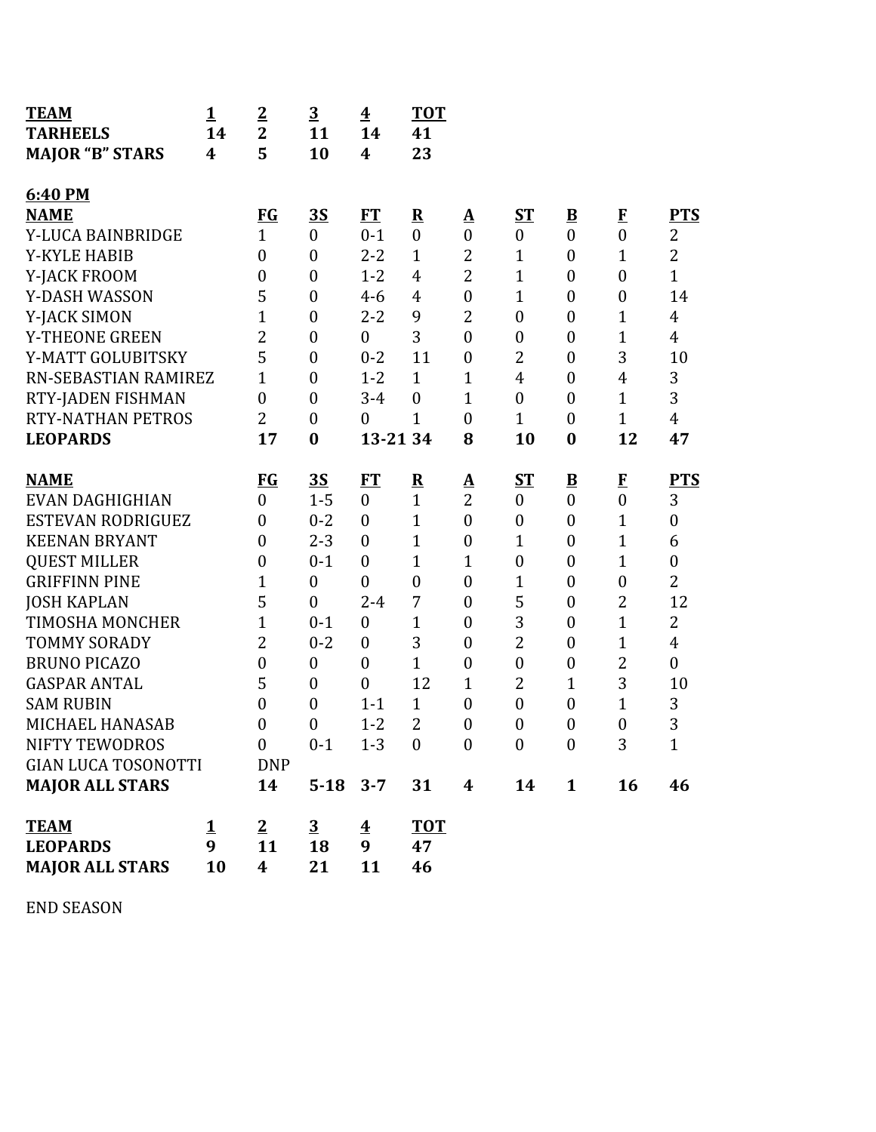| <b>TEAM</b><br><b>TARHEELS</b><br><b>MAJOR "B" STARS</b> | $\mathbf{1}$<br>14<br>4 | $\overline{2}$<br>$\overline{2}$<br>5    | $\overline{\mathbf{3}}$<br>11<br>10 | $\overline{\mathbf{4}}$<br>14<br>$\boldsymbol{4}$ | <b>TOT</b><br>41<br>23   |                  |                  |                          |                  |                  |
|----------------------------------------------------------|-------------------------|------------------------------------------|-------------------------------------|---------------------------------------------------|--------------------------|------------------|------------------|--------------------------|------------------|------------------|
| 6:40 PM                                                  |                         |                                          |                                     |                                                   |                          |                  |                  |                          |                  |                  |
| <b>NAME</b>                                              |                         | <b>FG</b>                                | <u>3S</u>                           | ET                                                | $\underline{\mathbf{R}}$ | Δ                | ST               | $\overline{\mathbf{B}}$  | $\mathbf{F}$     | <b>PTS</b>       |
| Y-LUCA BAINBRIDGE                                        |                         | $\mathbf{1}$                             | $\overline{0}$                      | $0 - 1$                                           | $\mathbf{0}$             | $\overline{0}$   | $\mathbf{0}$     | $\overline{0}$           | $\boldsymbol{0}$ | 2                |
| <b>Y-KYLE HABIB</b>                                      |                         | $\boldsymbol{0}$                         | $\boldsymbol{0}$                    | $2 - 2$                                           | $\mathbf{1}$             | $\overline{2}$   | $\mathbf{1}$     | $\boldsymbol{0}$         | $\mathbf{1}$     | $\overline{2}$   |
| Y-JACK FROOM                                             |                         | $\overline{0}$                           | $\boldsymbol{0}$                    | $1 - 2$                                           | $\overline{4}$           | $\overline{2}$   | $\mathbf{1}$     | $\boldsymbol{0}$         | $\boldsymbol{0}$ | $\mathbf{1}$     |
| Y-DASH WASSON                                            |                         | 5                                        | $\boldsymbol{0}$                    | $4 - 6$                                           | 4                        | $\boldsymbol{0}$ | $\mathbf{1}$     | $\boldsymbol{0}$         | $\boldsymbol{0}$ | 14               |
| Y-JACK SIMON                                             |                         | 1                                        | $\boldsymbol{0}$                    | $2 - 2$                                           | 9                        | $\overline{2}$   | $\boldsymbol{0}$ | $\boldsymbol{0}$         | 1                | $\overline{4}$   |
| Y-THEONE GREEN                                           |                         | 2                                        | $\boldsymbol{0}$                    | $\mathbf{0}$                                      | 3                        | $\overline{0}$   | $\boldsymbol{0}$ | $\boldsymbol{0}$         | $\mathbf{1}$     | $\overline{4}$   |
| Y-MATT GOLUBITSKY                                        |                         | 5                                        | $\boldsymbol{0}$                    | $0 - 2$                                           | 11                       | $\boldsymbol{0}$ | 2                | $\boldsymbol{0}$         | 3                | 10               |
| RN-SEBASTIAN RAMIREZ                                     |                         | 1                                        | $\boldsymbol{0}$                    | $1 - 2$                                           | $\mathbf{1}$             | 1                | $\overline{4}$   | $\boldsymbol{0}$         | 4                | 3                |
| RTY-JADEN FISHMAN                                        |                         | $\boldsymbol{0}$                         | $\boldsymbol{0}$                    | $3 - 4$                                           | $\overline{0}$           | $\mathbf{1}$     | $\overline{0}$   | $\boldsymbol{0}$         | $\mathbf{1}$     | 3                |
| <b>RTY-NATHAN PETROS</b>                                 |                         | $\overline{2}$                           | $\boldsymbol{0}$                    | $\boldsymbol{0}$                                  | $\mathbf{1}$             | $\boldsymbol{0}$ | $\mathbf{1}$     | $\boldsymbol{0}$         | $\mathbf{1}$     | $\overline{4}$   |
| <b>LEOPARDS</b>                                          |                         | 17                                       | $\bf{0}$                            | 13-21 34                                          |                          | 8                | 10               | $\bf{0}$                 | 12               | 47               |
| <b>NAME</b>                                              |                         | <b>FG</b>                                | <u>35</u>                           | <b>FT</b>                                         | $\underline{\mathbf{R}}$ | Δ                | $S_{\rm T}$      | $\underline{\mathbf{B}}$ | $\mathbf{F}$     | <b>PTS</b>       |
| EVAN DAGHIGHIAN                                          |                         | $\mathbf{0}$                             | $1 - 5$                             | $\boldsymbol{0}$                                  | $\mathbf{1}$             | $\overline{2}$   | $\boldsymbol{0}$ | $\boldsymbol{0}$         | $\boldsymbol{0}$ | 3                |
| <b>ESTEVAN RODRIGUEZ</b>                                 |                         | $\overline{0}$                           | $0 - 2$                             | $\boldsymbol{0}$                                  | $\mathbf{1}$             | $\overline{0}$   | $\boldsymbol{0}$ | $\boldsymbol{0}$         | $\mathbf{1}$     | $\overline{0}$   |
| <b>KEENAN BRYANT</b>                                     |                         | $\overline{0}$                           | $2 - 3$                             | $\mathbf{0}$                                      | $\mathbf{1}$             | $\boldsymbol{0}$ | $\mathbf{1}$     | $\boldsymbol{0}$         | $\mathbf{1}$     | 6                |
| <b>QUEST MILLER</b>                                      |                         | $\boldsymbol{0}$                         | $0 - 1$                             | $\mathbf{0}$                                      | $\mathbf{1}$             | $\mathbf{1}$     | $\boldsymbol{0}$ | $\boldsymbol{0}$         | 1                | $\boldsymbol{0}$ |
| <b>GRIFFINN PINE</b>                                     |                         | 1                                        | $\boldsymbol{0}$                    | $\boldsymbol{0}$                                  | $\boldsymbol{0}$         | $\boldsymbol{0}$ | $\mathbf{1}$     | $\boldsymbol{0}$         | $\boldsymbol{0}$ | $\overline{2}$   |
| <b>JOSH KAPLAN</b>                                       |                         | 5                                        | $\overline{0}$                      | $2 - 4$                                           | 7                        | $\boldsymbol{0}$ | 5                | $\boldsymbol{0}$         | $\overline{c}$   | 12               |
| <b>TIMOSHA MONCHER</b>                                   |                         | 1                                        | $0 - 1$                             | $\boldsymbol{0}$                                  | $\mathbf{1}$             | $\boldsymbol{0}$ | 3                | $\boldsymbol{0}$         | $\mathbf{1}$     | $\overline{2}$   |
| <b>TOMMY SORADY</b>                                      |                         | 2                                        | $0 - 2$                             | $\mathbf{0}$                                      | 3                        | $\boldsymbol{0}$ | $\overline{2}$   | $\boldsymbol{0}$         | 1                | $\overline{4}$   |
| <b>BRUNO PICAZO</b>                                      |                         | $\boldsymbol{0}$                         | $\boldsymbol{0}$                    | $\overline{0}$                                    | $\mathbf{1}$             | $\boldsymbol{0}$ | $\boldsymbol{0}$ | $\boldsymbol{0}$         | $\overline{2}$   | $\boldsymbol{0}$ |
| <b>GASPAR ANTAL</b>                                      |                         | 5                                        | $\boldsymbol{0}$                    | $\boldsymbol{0}$                                  | 12                       | $\mathbf{1}$     | 2                | $\mathbf{1}$             | 3                | 10               |
| <b>SAM RUBIN</b>                                         |                         | $\boldsymbol{0}$                         | $\boldsymbol{0}$                    | $1 - 1$                                           | $\mathbf{1}$             | $\boldsymbol{0}$ | $\boldsymbol{0}$ | $\boldsymbol{0}$         | $\mathbf{1}$     | 3                |
| MICHAEL HANASAB                                          |                         | $\boldsymbol{0}$                         | $\boldsymbol{0}$                    | $1 - 2$                                           | $\overline{2}$           | $\boldsymbol{0}$ | $\boldsymbol{0}$ | $\boldsymbol{0}$         | $\boldsymbol{0}$ | 3                |
| NIFTY TEWODROS                                           |                         | $\overline{0}$                           | $0 - 1$                             | $1 - 3$                                           | $\boldsymbol{0}$         | $\boldsymbol{0}$ | $\boldsymbol{0}$ | $\boldsymbol{0}$         | 3                | $\mathbf{1}$     |
| <b>GIAN LUCA TOSONOTTI</b>                               |                         | <b>DNP</b>                               |                                     |                                                   |                          |                  |                  |                          |                  |                  |
| <b>MAJOR ALL STARS</b>                                   |                         | 14                                       | $5 - 18$                            | $3 - 7$                                           | 31                       | $\boldsymbol{4}$ | 14               | $\mathbf{1}$             | 16               | 46               |
| <b>TEAM</b><br><b>LEOPARDS</b><br><b>MAJOR ALL STARS</b> | <u>1</u><br>9<br>10     | $\overline{2}$<br>11<br>$\boldsymbol{4}$ | $\overline{3}$<br>18<br>21          | $\overline{\textbf{4}}$<br>9<br>11                | <b>TOT</b><br>47<br>46   |                  |                  |                          |                  |                  |

END SEASON